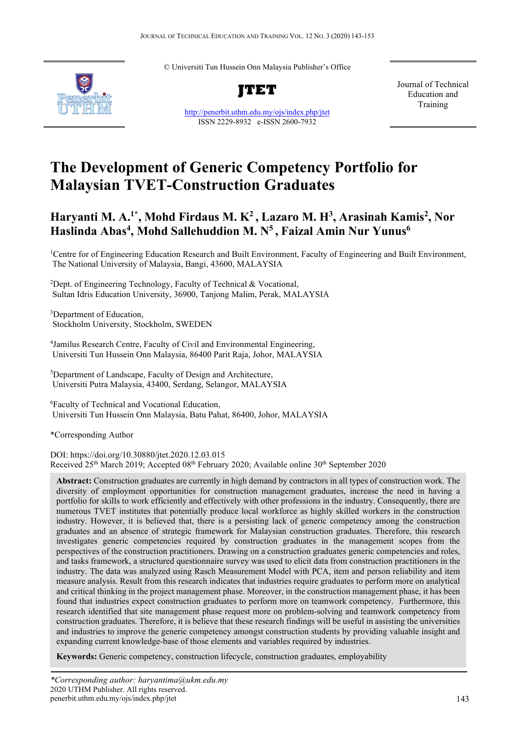© Universiti Tun Hussein Onn Malaysia Publisher's Office



**JTET**

<http://penerbit.uthm.edu.my/ojs/index.php/jtet> ISSN 2229-8932 e-ISSN 2600-7932

Journal of Technical Education and Training

# **The Development of Generic Competency Portfolio for Malaysian TVET-Construction Graduates**

## **Haryanti M. A. 1\* , Mohd Firdaus M. K2 , Lazaro M. H3 , Arasinah Kamis2 , Nor Haslinda Abas4 , Mohd Sallehuddion M. N5 , Faizal Amin Nur Yunus6**

<sup>1</sup>Centre for of Engineering Education Research and Built Environment, Faculty of Engineering and Built Environment, The National University of Malaysia, Bangi, 43600, MALAYSIA

<sup>2</sup>Dept. of Engineering Technology, Faculty of Technical & Vocational, Sultan Idris Education University, 36900, Tanjong Malim, Perak, MALAYSIA

3 Department of Education, Stockholm University, Stockholm, SWEDEN

4 Jamilus Research Centre, Faculty of Civil and Environmental Engineering, Universiti Tun Hussein Onn Malaysia, 86400 Parit Raja, Johor, MALAYSIA

5 Department of Landscape, Faculty of Design and Architecture, Universiti Putra Malaysia, 43400, Serdang, Selangor, MALAYSIA

6 Faculty of Technical and Vocational Education, Universiti Tun Hussein Onn Malaysia, Batu Pahat, 86400, Johor, MALAYSIA

\*Corresponding Author

DOI: https://doi.org/10.30880/jtet.2020.12.03.015 Received 25<sup>th</sup> March 2019; Accepted 08<sup>th</sup> February 2020; Available online  $30<sup>th</sup>$  September 2020

**Abstract:** Construction graduates are currently in high demand by contractors in all types of construction work. The diversity of employment opportunities for construction management graduates, increase the need in having a portfolio for skills to work efficiently and effectively with other professions in the industry. Consequently, there are numerous TVET institutes that potentially produce local workforce as highly skilled workers in the construction industry. However, it is believed that, there is a persisting lack of generic competency among the construction graduates and an absence of strategic framework for Malaysian construction graduates. Therefore, this research investigates generic competencies required by construction graduates in the management scopes from the perspectives of the construction practitioners. Drawing on a construction graduates generic competencies and roles, and tasks framework, a structured questionnaire survey was used to elicit data from construction practitioners in the industry. The data was analyzed using Rasch Measurement Model with PCA, item and person reliability and item measure analysis. Result from this research indicates that industries require graduates to perform more on analytical and critical thinking in the project management phase. Moreover, in the construction management phase, it has been found that industries expect construction graduates to perform more on teamwork competency. Furthermore, this research identified that site management phase request more on problem-solving and teamwork competency from construction graduates. Therefore, it is believe that these research findings will be useful in assisting the universities and industries to improve the generic competency amongst construction students by providing valuable insight and expanding current knowledge-base of those elements and variables required by industries.

**Keywords:** Generic competency, construction lifecycle, construction graduates, employability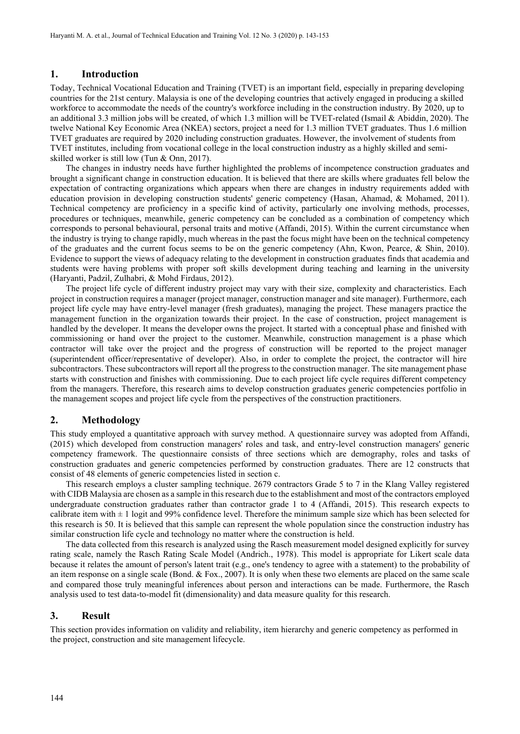## **1. Introduction**

Today, Technical Vocational Education and Training (TVET) is an important field, especially in preparing developing countries for the 21st century. Malaysia is one of the developing countries that actively engaged in producing a skilled workforce to accommodate the needs of the country's workforce including in the construction industry. By 2020, up to an additional 3.3 million jobs will be created, of which 1.3 million will be TVET-related (Ismail & Abiddin, 2020). The twelve National Key Economic Area (NKEA) sectors, project a need for 1.3 million TVET graduates. Thus 1.6 million TVET graduates are required by 2020 including construction graduates. However, the involvement of students from TVET institutes, including from vocational college in the local construction industry as a highly skilled and semiskilled worker is still low (Tun & Onn, 2017).

The changes in industry needs have further highlighted the problems of incompetence construction graduates and brought a significant change in construction education. It is believed that there are skills where graduates fell below the expectation of contracting organizations which appears when there are changes in industry requirements added with education provision in developing construction students' generic competency (Hasan, Ahamad, & Mohamed, 2011). Technical competency are proficiency in a specific kind of activity, particularly one involving methods, processes, procedures or techniques, meanwhile, generic competency can be concluded as a combination of competency which corresponds to personal behavioural, personal traits and motive (Affandi, 2015). Within the current circumstance when the industry is trying to change rapidly, much whereas in the past the focus might have been on the technical competency of the graduates and the current focus seems to be on the generic competency (Ahn, Kwon, Pearce, & Shin, 2010). Evidence to support the views of adequacy relating to the development in construction graduates finds that academia and students were having problems with proper soft skills development during teaching and learning in the university (Haryanti, Padzil, Zulhabri, & Mohd Firdaus, 2012).

The project life cycle of different industry project may vary with their size, complexity and characteristics. Each project in construction requires a manager (project manager, construction manager and site manager). Furthermore, each project life cycle may have entry-level manager (fresh graduates), managing the project. These managers practice the management function in the organization towards their project. In the case of construction, project management is handled by the developer. It means the developer owns the project. It started with a conceptual phase and finished with commissioning or hand over the project to the customer. Meanwhile, construction management is a phase which contractor will take over the project and the progress of construction will be reported to the project manager (superintendent officer/representative of developer). Also, in order to complete the project, the contractor will hire subcontractors. These subcontractors will report all the progress to the construction manager. The site management phase starts with construction and finishes with commissioning. Due to each project life cycle requires different competency from the managers. Therefore, this research aims to develop construction graduates generic competencies portfolio in the management scopes and project life cycle from the perspectives of the construction practitioners.

## **2. Methodology**

This study employed a quantitative approach with survey method. A questionnaire survey was adopted from Affandi, (2015) which developed from construction managers' roles and task, and entry-level construction managers' generic competency framework. The questionnaire consists of three sections which are demography, roles and tasks of construction graduates and generic competencies performed by construction graduates. There are 12 constructs that consist of 48 elements of generic competencies listed in section c.

This research employs a cluster sampling technique. 2679 contractors Grade 5 to 7 in the Klang Valley registered with CIDB Malaysia are chosen as a sample in this research due to the establishment and most of the contractors employed undergraduate construction graduates rather than contractor grade 1 to 4 (Affandi, 2015). This research expects to calibrate item with  $\pm 1$  logit and 99% confidence level. Therefore the minimum sample size which has been selected for this research is 50. It is believed that this sample can represent the whole population since the construction industry has similar construction life cycle and technology no matter where the construction is held.

The data collected from this research is analyzed using the Rasch measurement model designed explicitly for survey rating scale, namely the Rasch Rating Scale Model (Andrich., 1978). This model is appropriate for Likert scale data because it relates the amount of person's latent trait (e.g., one's tendency to agree with a statement) to the probability of an item response on a single scale (Bond. & Fox., 2007). It is only when these two elements are placed on the same scale and compared those truly meaningful inferences about person and interactions can be made. Furthermore, the Rasch analysis used to test data-to-model fit (dimensionality) and data measure quality for this research.

#### **3. Result**

This section provides information on validity and reliability, item hierarchy and generic competency as performed in the project, construction and site management lifecycle.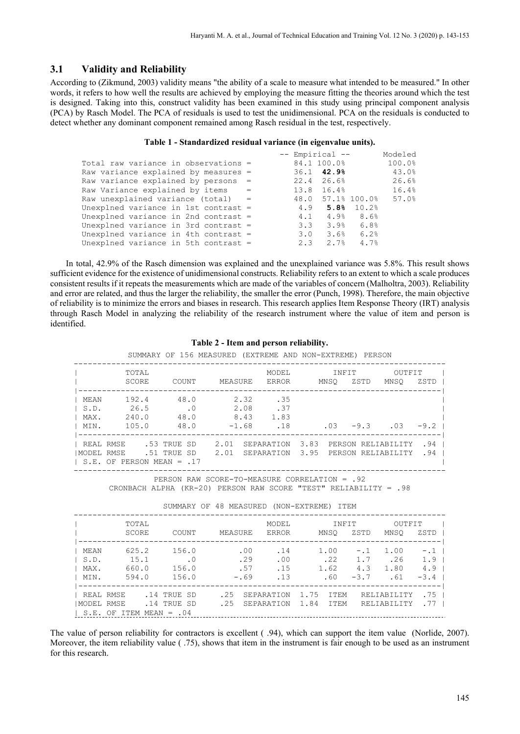## **3.1 Validity and Reliability**

According to (Zikmund, 2003) validity means "the ability of a scale to measure what intended to be measured." In other words, it refers to how well the results are achieved by employing the measure fitting the theories around which the test is designed. Taking into this, construct validity has been examined in this study using principal component analysis (PCA) by Rasch Model. The PCA of residuals is used to test the unidimensional. PCA on the residuals is conducted to detect whether any dominant component remained among Rasch residual in the test, respectively.

#### **Table 1 - Standardized residual variance (in eigenvalue units).**

|                                        | -- Empirical -- |                |                     | Modeled |
|----------------------------------------|-----------------|----------------|---------------------|---------|
| Total raw variance in observations =   |                 | 84.1 100.0%    |                     | 100.0%  |
| Raw variance explained by measures $=$ |                 | 36.1 42.9%     |                     | 43.0%   |
| Raw variance explained by persons $=$  |                 | $22.4$ $26.6%$ |                     | 26.6%   |
| Raw Variance explained by items =      |                 | $13.8$ $16.4%$ |                     | 16.4%   |
| Raw unexplained variance (total) $=$   |                 |                | 48.0 57.1% 100.0%   | 57.0%   |
| Unexplned variance in 1st contrast =   |                 |                | $4.9$ 5.8% $10.2%$  |         |
| Unexplned variance in 2nd contrast =   |                 |                | $4.1$ $4.9%$ $8.6%$ |         |
| Unexplned variance in 3rd contrast =   |                 |                | $3.3$ $3.9$ 6.8 %   |         |
| Unexplned variance in 4th contrast =   |                 |                | $3.0$ $3.6$ $6.2$   |         |
| Unexplned variance in 5th contrast =   |                 |                | $2.3$ $2.7$ $4.7$   |         |
|                                        |                 |                |                     |         |

In total, 42.9% of the Rasch dimension was explained and the unexplained variance was 5.8%. This result shows sufficient evidence for the existence of unidimensional constructs. Reliability refers to an extent to which a scale produces consistent results if it repeats the measurements which are made of the variables of concern (Malholtra, 2003). Reliability and error are related, and thus the larger the reliability, the smaller the error (Punch, 1998). Therefore, the main objective of reliability is to minimize the errors and biases in research. This research applies Item Response Theory (IRT) analysis through Rasch Model in analyzing the reliability of the research instrument where the value of item and person is identified.

#### **Table 2 - Item and person reliability.**

|                                          |                                                                                         |                                  | SUMMARY OF 156 MEASURED (EXTREME AND NON-EXTREME) PERSON |                                   |                    |                                                                          |              |
|------------------------------------------|-----------------------------------------------------------------------------------------|----------------------------------|----------------------------------------------------------|-----------------------------------|--------------------|--------------------------------------------------------------------------|--------------|
|                                          | TOTAL<br>SCORE                                                                          | COUNT                            | MEASURE                                                  | MODEL<br>ERROR                    | INFIT<br>MNSO ZSTD | OUTFIT                                                                   | MNSO ZSTD I  |
| MEAN<br>$\vert$ S.D.<br>I MAX.<br>I MIN. | 192.4<br>26.5<br>240.0<br>105.0                                                         | 48.0<br>$\sim$ 0<br>48.0<br>48.0 | 2.32<br>2.08<br>8.43                                     | .35<br>.37<br>1.83<br>$-1.68$ .18 | $.03 -9.3$         | .03                                                                      | $-9.2 \;  $  |
|                                          | I REAL RMSE .53 TRUE SD<br>IMODEL RMSE .51 TRUE SD<br>$\vert$ S.E. OF PERSON MEAN = .17 |                                  | 2.01<br>2.01                                             |                                   |                    | SEPARATION 3.83 PERSON RELIABILITY<br>SEPARATION 3.95 PERSON RELIABILITY | .94  <br>.94 |

PERSON RAW SCORE-TO-MEASURE CORRELATION = .92 CRONBACH ALPHA (KR-20) PERSON RAW SCORE "TEST" RELIABILITY = .98

|            | TOTAL |             |         | MODEL      |      | INFIT       |        | <b>OUTFIT</b> |                    |
|------------|-------|-------------|---------|------------|------|-------------|--------|---------------|--------------------|
|            | SCORE | COUNT       | MEASURE | ERROR      |      | MNSO        | ZSTD   | MNSO          | ZSTD               |
| MEAN       | 625.2 | 156.0       | .00     | .14        |      | 1.00        | $-1.1$ | 1.00          | $-1$ $\frac{1}{2}$ |
| S.D.       | 15.1  | $\cdot$ 0   | .29     | .00        |      | .22         | 1.7    | .26           | 1.9 <sub>1</sub>   |
| MAX.       | 660.0 | 156.0       | .57     | .15        |      | 1.62        | 4.3    | 1.80          | 4.9                |
| MIN.       | 594.0 | 156.0       | $-0.69$ | .13        |      | .60         | $-3.7$ | .61           | $-3.4$             |
| REAL RMSE  |       | .14 TRUE SD | .25     | SEPARATION | 1.75 | <b>TTEM</b> |        | RELIABILITY   | .75                |
| MODEL RMSE |       | .14 TRUE SD | .25     | SEPARATION | 1.84 | <b>ITEM</b> |        | RELIABILITY   | .77 <sub>1</sub>   |

SUMMARY OF 48 MEASURED (NON-EXTREME) ITEM

The value of person reliability for contractors is excellent ( .94), which can support the item value (Norlide, 2007). Moreover, the item reliability value ( .75), shows that item in the instrument is fair enough to be used as an instrument for this research.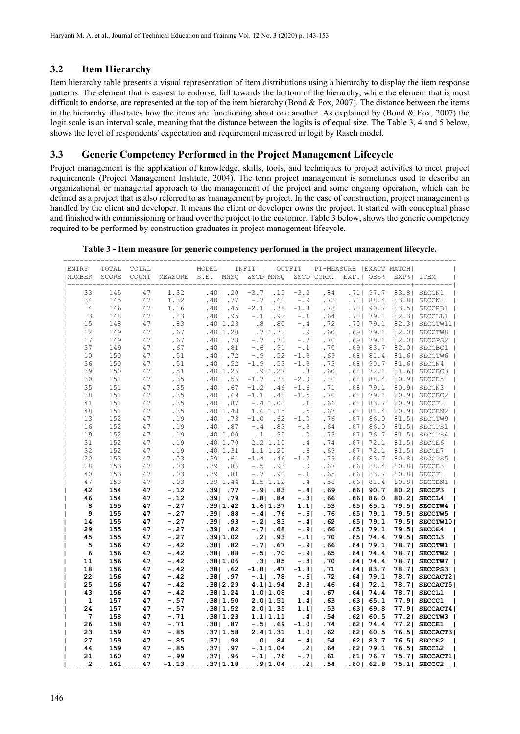## **3.2 Item Hierarchy**

Item hierarchy table presents a visual representation of item distributions using a hierarchy to display the item response patterns. The element that is easiest to endorse, fall towards the bottom of the hierarchy, while the element that is most difficult to endorse, are represented at the top of the item hierarchy (Bond & Fox, 2007). The distance between the items in the hierarchy illustrates how the items are functioning about one another. As explained by (Bond  $&$  Fox, 2007) the logit scale is an interval scale, meaning that the distance between the logits is of equal size. The Table 3, 4 and 5 below, shows the level of respondents' expectation and requirement measured in logit by Rasch model.

## **3.3 Generic Competency Performed in the Project Management Lifecycle**

Project management is the application of knowledge, skills, tools, and techniques to project activities to meet project requirements (Project Management Institute, 2004). The term project management is sometimes used to describe an organizational or managerial approach to the management of the project and some ongoing operation, which can be defined as a project that is also referred to as 'management by project. In the case of construction, project management is handled by the client and developer. It means the client or developer owns the project. It started with conceptual phase and finished with commissioning or hand over the project to the customer. Table 3 below, shows the generic competency required to be performed by construction graduates in project management lifecycle.

| Table 3 - Item measure for generic competency performed in the project management lifecycle. |  |  |  |
|----------------------------------------------------------------------------------------------|--|--|--|
|----------------------------------------------------------------------------------------------|--|--|--|

| ENTRY                   | TOTAL      | TOTAL    |                  | MODEL                      | INFIT       |                          | OUTFIT          |             |        |                                | PT-MEASURE   EXACT MATCH |                                                 |
|-------------------------|------------|----------|------------------|----------------------------|-------------|--------------------------|-----------------|-------------|--------|--------------------------------|--------------------------|-------------------------------------------------|
| NUMBER                  | SCORE      | COUNT    | MEASURE          | S.E.   MNSO                |             | ZSTD   MNSO              |                 | ZSTD CORR.  | EXP.I  | OBS <sup>8</sup>               | EXP%                     | ITEM                                            |
|                         |            |          |                  |                            |             |                          |                 |             |        |                                |                          |                                                 |
| 33                      | 145        | 47       | 1.32             | .401.20                    |             | $-3.71$ . 15             | $-3.21$         | .84         |        | .71197.7                       |                          | 83.8  SECCN1                                    |
| 34                      | 145        | 47       | 1.32             | .77<br>.401                | $- 0.71$    | .61                      | $-.91$          | .72         |        | $.71$   88.4                   | 83.8                     | SECCN2                                          |
| 4                       | 146        | 47       | 1.16             | .401.45                    | $-2.11$     | .38                      | $-1.8$          | .78         |        | .70190.7                       |                          | 83.5  SECCRB1                                   |
| 3                       | 148        | 47       | .83              | .401.95                    |             | $-.11.92$                | $-11$           | .64         |        | .70179.1                       | 82.31                    | SECCLL1                                         |
| 15                      | 148        | 47       | .83              | .40 1.23                   |             | $.8$   .80               | $- .4  $        | .72         |        | $.70$   79.1                   |                          | 82.3  SECCTW11                                  |
| 12                      | 149        | 47       | .67              | .40 1.20                   |             | .711.32                  | $.9$            | .60         | $.69$  | 79.1                           | $82.0$                   | SECCTW8                                         |
| 17                      | 149        | 47       | .67              | .401.78                    |             | $-.71.70$                | $- 0.7$         | .70         |        | $.69$   79.1                   | $82.0$                   | SECCPS2                                         |
| 37                      | 149        | 47       | .67              | .401.81                    |             | $-0.61$ . 91             | $-11$           | .70         |        | .69183.7                       | 82.01                    | SECCBC1                                         |
| 10                      | 150        | 47       | .51              | .401.72                    | $-.91$      | .52                      | $-1.3$          | .69         |        | $.68$   81.4                   |                          | 81.6  SECCTW6                                   |
| 36                      | 150        | 47       | .51              | .401.52                    |             | $-1.9$ . 53              | $-1.3$          | .73         |        | $.68$   90.7                   |                          | 81.6  SECCN4                                    |
| 39                      | 150        | 47       | .51              | .4011.26                   |             | .911.27                  | .8 <sub>1</sub> | .60         |        | $.68$   72.1                   |                          | 81.6  SECCBC3                                   |
| 30                      | 151        | 47       | .35              | .401.56                    | $-1.7$ . 38 |                          | $-2.01$         | .80         |        | $.68$   88.4                   |                          | 80.9  SECCE5                                    |
| 35                      | 151        | 47       | .35              | .401.67                    |             | $-1.2$ . 46              | $-1.6$          | .71         |        | $.68$   79.1                   |                          | 80.9  SECCN3                                    |
| 38                      | 151        | 47       | .35              | .401.69                    | $-1.1$ . 48 |                          | $-1.5$          | .70         |        | $.68$   79.1                   | 80.91                    | SECCBC2                                         |
| 41                      | 151        | 47       | .35              | $.40$ $.87$                |             | $-.4 1.00$               | .1              | .66         |        | $.68$   83.7                   | 80.91                    | SECCF2                                          |
| 48                      | 151        | 47       | .35              | .4011.48                   |             | 1.611.15                 | .5 <sub>1</sub> | .67         |        | $.68$   81.4                   | 80.91                    | SECCEN2                                         |
| 13                      | 152        | 47       | .19              | $.40$   .73                |             | $-1.0$ .62               | $-1.0$          | .76         |        | $.67$   86.0                   |                          | 81.5  SECCTW9                                   |
| 16                      | 152        | 47       | .19              | .401.87                    |             | $-4$ , 83                | $- .3$          | .64         |        | $.67$   86.0                   |                          | 81.5  SECCPS1                                   |
| 19                      | 152        | 47       | .19              | .40 1.00                   |             | $.1$ $.95$               | $.0$            | .73         |        | $.67$   76.7                   |                          | 81.5  SECCPS4                                   |
| 31                      | 152        | 47       | .19              | .4011.70                   |             | 2.211.10                 | .4 <sub>1</sub> | .74         | .671   | 72.1                           |                          | 81.5  SECCE6                                    |
| 32                      | 152        | 47       | .19              | .4011.31                   |             | 1.111.20                 | .6              | .69         | .671   | 72.1                           | $81.5$                   | SECCE7                                          |
| 20                      | 153        | 47       | .03              | .391.64                    |             | $-1.4$ . 46              | $-1.7$          | .79         |        | $.66$   83.7                   |                          | 80.8  SECCPS5                                   |
| 28                      | 153        | 47       | .03              | $.39$ $.86$                |             | $-0.51$ .93              | .01             | .67         |        | $.66$   88.4                   | 80.81                    | SECCE3                                          |
| 40                      | 153        | 47       | .03              | .391.81                    |             | $-.71.90$                | $-11$           | .65         |        | $.66$   83.7                   |                          | 80.8  SECCF1                                    |
| 47                      | 153        | 47       | .03              | .3911.44                   |             | 1.511.12                 | .4 <sub>1</sub> | .58         |        | $.66$   81.4                   |                          | 80.8  SECCEN1                                   |
| 42                      | 154        | 47       | $-.12$           | .391.77                    |             | $-.9$ $.83$              | $- .41$         | . 69        |        | $.66$   90.7                   |                          | 80.2  SECCF3                                    |
| 46                      | 154        | 47       | $-.12$           | .391.79                    |             | $-.8$   .84              | $-.31$          | .66         |        | $.66$   86.0                   |                          | 80.2  SECCL4                                    |
| 8                       | 155        | 47       | $-.27$           | .3911.42                   |             | 1.611.37                 | 1.1             | .53         |        | $.65$   $65.1$                 | 79.51                    | SECCTW4                                         |
| 9                       | 155        | 47       | $-.27$           | $.39$ $.88$                |             | $-.4$ ]. 76              | $-.61$          | .76         |        | $.65$   79.1                   |                          | 79.5   SECCTW5                                  |
| 14                      | 155        | 47       | $-.27$           | .391.93                    |             | $-.21-.83$               | $- .41$         | . 62        | . 65 I | 79.1                           | 79.51                    | SECCTW10                                        |
| 29                      | 155        | 47       | $-.27$           | .391.82                    |             | $-.71.68$                | $-.91$          | .66         |        | $.65$   79.1                   |                          | 79.5  SECCE4                                    |
| 45                      | 155        | 47       | $-.27$           | .3911.02                   |             | .21.93                   | $-.11$          | .70         |        | $.65$   74.4                   |                          | 79.5  SECCL3                                    |
| 5                       | 156        | 47       | $-.42$           | .381.82                    |             | $-.71-.67$               | $-.91$          | . 66        |        | $.64$   79.1                   |                          | 78.7  SECCTW1                                   |
| 6                       | 156        | 47       | $-.42$           | $.38$ $.88$                | $-.51$      | .70                      | $-.91$          | . 65        |        | .64174.4                       | 78.71                    | SECCTW2                                         |
| 11                      | 156        | 47<br>47 | $-.42$<br>$-.42$ | .38 1.06                   | .31         | .85                      | $-.31$          | .70         |        | $.64$   $74.4$                 |                          | 78.7  SECCTW7                                   |
| 18<br>22                | 156        |          | $-.42$           | .381.62                    |             | $-1.8$   .47             | $-1.8$          | .71         |        | $.64$   83.7                   |                          | 78.7  SECCPS3                                   |
|                         | 156        | 47       | $-.42$           | $.38$   .97                |             | $-.1$ .78                | $-.61$          | .72         |        | .64  79.1                      |                          | 78.7  SECCACT2                                  |
| 25<br>43                | 156<br>156 | 47<br>47 | $-.42$           | .3812.29<br>.38 1.24       |             | 4.111.94<br>1.011.08     | 2.31<br>.41     | .46<br>.67  |        | $.64$   72.1<br>$.64$   $74.4$ |                          | 78.7  SECCACT5 <br>78.7  SECCL1                 |
| $\mathbf{1}$            |            |          | $-.57$           |                            |             |                          |                 |             |        |                                |                          |                                                 |
| 24                      | 157<br>157 | 47<br>47 | $-.57$           | .38 1.50                   |             | 2.0 1.51                 | 1.4             | . 63        |        | $.63$   65.1                   | 77.91                    | SECCC1                                          |
| $7\phantom{.0}$         |            |          | $-.71$           | .38 1.52                   |             | 2.0 1.35                 | 1.1             | .53         |        | $.63$   69.8<br>.62160.5       |                          | 77.9  SECCACT4                                  |
| 26                      | 158<br>158 | 47<br>47 | $-.71$           | .38 1.23<br>.381.87        |             | 1.1 1.11                 | $.4$            | .54         |        | $.62$   74.4                   |                          | 77.21 SECCTW3 1<br>77.2  SECCE1                 |
| 23                      | 159        |          | $-.85$           | .3711.58                   |             | $-0.5$ ] .69<br>2.4 1.31 | $-1.0$          | .74<br>.62  |        | $.62$   60.5                   |                          | 76.5  SECCACT3                                  |
|                         |            | 47<br>47 | $-.85$           |                            |             |                          | 1.01            |             |        | $.62$   83.7                   |                          |                                                 |
| 27<br>44                | 159<br>159 | 47       | $-.85$           | $.37$   .98<br>$.37$   .97 |             | $.0$   .84               | $-0.41$         | .54         |        |                                |                          | 76.5  SECCE2                                    |
| 21                      | 160        |          | $-.99$           | .371.96                    |             | $-.1 1.04$<br>$-.11-.76$ | .21<br>$-.71$   | . 64<br>.61 |        | $.62$   79.1<br>$.61$   76.7   |                          | 76.5  SECCL2<br>$\mathbf{I}$<br>75.71 SECCACT11 |
|                         |            | 47       |                  |                            |             |                          |                 |             |        |                                |                          |                                                 |
| $\overline{\mathbf{2}}$ | 161        | 47       | $-1.13$          | .37 1.18                   |             | .9 1.04                  | .21             | .54         |        | $.60$   62.8                   |                          | 75.1  SECCC2                                    |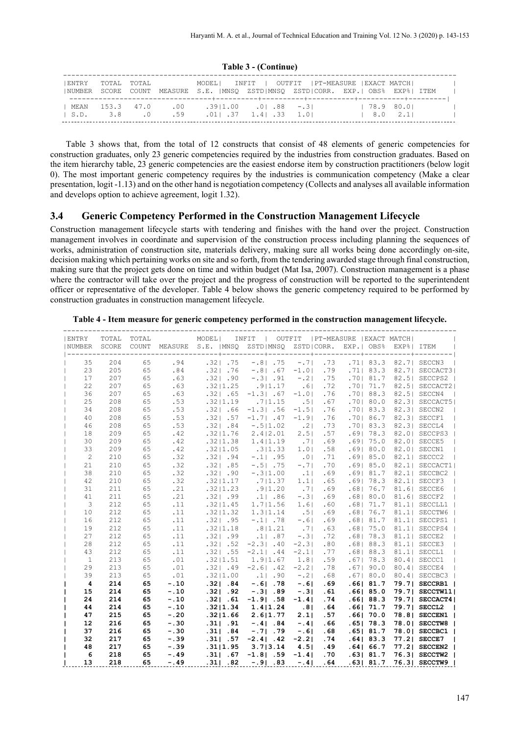**Table 3 - (Continue)**

| ENTRY<br>INFIT   OUTFIT  PT-MEASURE  EXACT_MATCH <br>TOTAL TOTAL<br>MODELI<br> NUMBER SCORE COUNT MEASURE S.E.  MNSO ZSTD MNSO ZSTD CORR. EXP.  OBS% EXP%  ITEM<br>178.980.01<br>153.3 47.0 .00<br>MEAN<br>.3911.00 .01 .88 -.31<br>18.02.11<br>$\vert$ S.D.<br>$3.8$ . 0<br>.01 .37 1.4 .33 1.0<br>.59 |  |  |  |  |  |
|---------------------------------------------------------------------------------------------------------------------------------------------------------------------------------------------------------------------------------------------------------------------------------------------------------|--|--|--|--|--|
|                                                                                                                                                                                                                                                                                                         |  |  |  |  |  |
|                                                                                                                                                                                                                                                                                                         |  |  |  |  |  |

Table 3 shows that, from the total of 12 constructs that consist of 48 elements of generic competencies for construction graduates, only 23 generic competencies required by the industries from construction graduates. Based on the item hierarchy table, 23 generic competencies are the easiest endorse item by construction practitioners (below logit 0). The most important generic competency requires by the industries is communication competency (Make a clear presentation, logit -1.13) and on the other hand is negotiation competency (Collects and analyses all available information and develops option to achieve agreement, logit 1.32).

## **3.4 Generic Competency Performed in the Construction Management Lifecycle**

Construction management lifecycle starts with tendering and finishes with the hand over the project. Construction management involves in coordinate and supervision of the construction process including planning the sequences of works, administration of construction site, materials delivery, making sure all works being done accordingly on-site, decision making which pertaining works on site and so forth, from the tendering awarded stage through final construction, making sure that the project gets done on time and within budget (Mat Isa, 2007). Construction management is a phase where the contractor will take over the project and the progress of construction will be reported to the superintendent officer or representative of the developer. Table 4 below shows the generic competency required to be performed by construction graduates in construction management lifecycle.

| ENTRY                   | TOTAL | TOTAL |         | MODEL           | INFIT                      | OUTFIT          |            |              | PT-MEASURE   EXACT MATCH |                         |
|-------------------------|-------|-------|---------|-----------------|----------------------------|-----------------|------------|--------------|--------------------------|-------------------------|
| <b>NUMBER</b>           | SCORE | COUNT | MEASURE | S.E.   MNSO     | ZSTD   MNSO                |                 | ZSTD CORR. | EXP.   OBS%  | EXP%  ITEM               |                         |
|                         |       |       |         |                 |                            |                 |            |              |                          |                         |
| 35                      | 204   | 65    | .94     | $.321$ $.75$    | $-.81.75$                  | $- 0.71$        | .73        | $.71$   83.3 |                          | 82.7  SECCN3            |
| 23                      | 205   | 65    | .84     | $.321$ $.76$    | $-.81$ $.67$ $-1.01$       |                 | .79        | $.711$ 83.3  |                          | 82.71 SECCACT31         |
| 17                      | 207   | 65    | .63     | $.32$   $.90$   | $-.31.91$                  | $-21$           | .75        | .70181.7     |                          | 82.5  SECCPS2           |
| 22                      | 207   | 65    | .63     | .32 1.25        | .911.17                    | .61             | .72        | $.70$   71.7 |                          | 82.5  SECCACT2          |
| 36                      | 207   | 65    | .63     | $.32$   $.65$   | $-1.3$ . 67                | $-1.0$          | .76        | .70188.3     |                          | 82.5  SECCN4            |
| 25                      | 208   | 65    | .53     | .3211.19        | .711.15                    | .51             | .67        | .70180.0     |                          | 82.3  SECCACT5          |
| 34                      | 208   | 65    | .53     | .321.66         | $-1.3$ .56                 | $-1.5$          | .76        | .70183.3     |                          | 82.3  SECCN2            |
| 40                      | 208   | 65    | .53     | $.32$   $.57$   | $-1.71.47$                 | $-1.9$          | .76        | $.70$   86.7 |                          | 82.3  SECCF1            |
| 46                      | 208   | 65    | .53     | $.32$ $.84$     | $-.511.02$                 | $.2$            | .73        | .70183.3     |                          | 82.3  SECCL4            |
| 18                      | 209   | 65    | .42     | .3211.76        | 2.412.01                   | 2.51            | .57        | $.69$   78.3 |                          | 82.0  SECCPS3           |
| 30                      | 209   | 65    | .42     | .32 1.38        | 1.4 1.19                   | .7 <sub>1</sub> | .69        | .69175.0     |                          | 82.0  SECCE5            |
| 33                      | 209   | 65    | .42     | .32 1.05        | .3 1.33                    | 1.01            | .58        | $.69$   80.0 |                          | 82.0  SECCN1            |
| 2                       | 210   | 65    | .32     | $.32$   $.94$   | $-.1$ .95                  | $.0$            | .71        | $.69$   85.0 |                          | 82.1  SECCC2            |
| 21                      | 210   | 65    | .32     | $.32$   $.85$   | $-0.5$ .75                 | $-1.7$          | .70        | .69185.0     |                          | 82.1  SECCACT1          |
| 38                      | 210   | 65    | .32     | $.32$   $.90$   | $-.3 1.00$                 | $\cdot$ 1       | .69        | $.69$   81.7 |                          | 82.1  SECCBC2           |
| 42                      | 210   | 65    | .32     | .32 1.17        | .711.37                    | $1.1$           | .65        | $.69$   78.3 |                          | 82.1  SECCF3            |
| 31                      | 211   | 65    | .21     | $.32 \mid 1.23$ | .911.20                    | $.7$            | .69        | .68176.7     |                          | 81.6  SECCE6            |
| 41                      | 211   | 65    | .21     | $.32$   .99     | $.1$   .86                 | $-31$           | .69        | $.68$   80.0 |                          | 81.6  SECCF2            |
| $\overline{\mathbf{3}}$ | 212   | 65    | .11     | .32 1.45        | 1.711.56                   | $1.6$           | .60        | .68171.7     |                          | 81.1  SECCLL1           |
| 10                      | 212   | 65    | .11     | .3211.32        | 1.311.14                   | .51             | .69        | $.68$   76.7 |                          | 81.1  SECCTW6           |
| 16                      | 212   | 65    | .11     | $.32$   $.95$   | $-.1$ .78                  | $-.6$           | .69        | $.68$   81.7 |                          | 81.1  SECCPS1           |
| 19                      | 212   | 65    | .11     | .32 1.18        | .8 1.21                    | .71             | .63        | .68175.0     |                          | 81.1  SECCPS4           |
| 27                      | 212   | 65    | .11     | $.32$   .99     | .11.87                     | $-3$            | .72        | $.68$   78.3 |                          | 81.1  SECCE2            |
| 28                      | 212   | 65    | .11     | $.32$   $.52$   | $-2.31.40$                 | $-2.3$          | .80        | .68188.3     |                          | 81.1  SECCE3            |
| 43                      | 212   | 65    | .11     | $.32$   $.55$   | $-2.11.44$                 | $-2.1$          | .77        | $.68$   88.3 |                          | 81.1  SECCL1            |
| $\mathbf{1}$            | 213   | 65    | .01     | .32 1.51        | 1.911.67                   | $1.8$           | .59        | $.67$   78.3 |                          | 80.4  SECCC1            |
| 29                      | 213   | 65    | .01     |                 | $.32$   $.49$ -2.6   $.42$ | $-2.2$          | .78        | $.67$   90.0 |                          | 80.4  SECCE4            |
| 39                      | 213   | 65    | .01     | $.32 \mid 1.00$ | .11.90                     | $-21$           | .68        | .67180.0     |                          | 80.41 SECCBC3           |
| 4                       | 214   | 65    | $-.10$  | $.32$ $.84$     | $-.61.78$                  | $-.61$          | .69        | .66181.7     |                          | 79.7  SECCRB1           |
| 15                      | 214   | 65    | $-.10$  | $.32$ $.92$     | $-.31.89$                  | $-.31$          | .61        | .66185.0     |                          | 79.7  SECCTW11          |
| 24                      | 214   | 65    | $-.10$  | $.32$   $.61$   | $-1.9$ . 58                | $-1.4$          | .74        | $.66$   88.3 |                          | 79.7  SECCACT4          |
| 44                      | 214   | 65    | $-.10$  | .32 1.34        | 1.4 1.24                   | .81             | .64        | .66  71.7    |                          | 79.7  SECCL2            |
| 47                      | 215   | 65    | $-.20$  | .32 1.66        | 2.611.77                   | $2.1$           | .57        | .661 70.0    |                          | 78.8  SECCEN1           |
| 12                      | 216   | 65    | $-.30$  | $.31$ $.91$     | $-.4$ $.84$                | $-0.41$         | .66        | $.65$   78.3 |                          | 78.0  SECCTW8           |
| 37                      | 216   | 65    | $-.30$  | $.31$ $.84$     | $-.71.79$                  | $-.61$          | .68        | $.65$   81.7 |                          | 78.0  SECCBC1           |
| 32                      | 217   | 65    | $-.39$  | .31  .57        | $-2.4$ . 42                | $-2.2$          | .74        | $.64$   83.3 |                          | 77.2  SECCE7            |
| 48                      | 217   | 65    | $-.39$  | .31 1.95        | 3.713.14                   | 4.51            | .49        | $.64$   66.7 |                          | 77.2  SECCEN2           |
| 6                       | 218   | 65    | $-.49$  | $.31$ $.67$     | $-1.8$   $.59$ -1.4        |                 | .70        | $.63$   81.7 |                          | 76.3  SECCTW2           |
| 13                      | 218   | 65    | $-.49$  | $.31$ $.82$     | $-.9$ $-.83$ $-.4$ $-.64$  |                 |            |              |                          | .631 81.7 76.31 SECCTW9 |

**Table 4 - Item measure for generic competency performed in the construction management lifecycle.**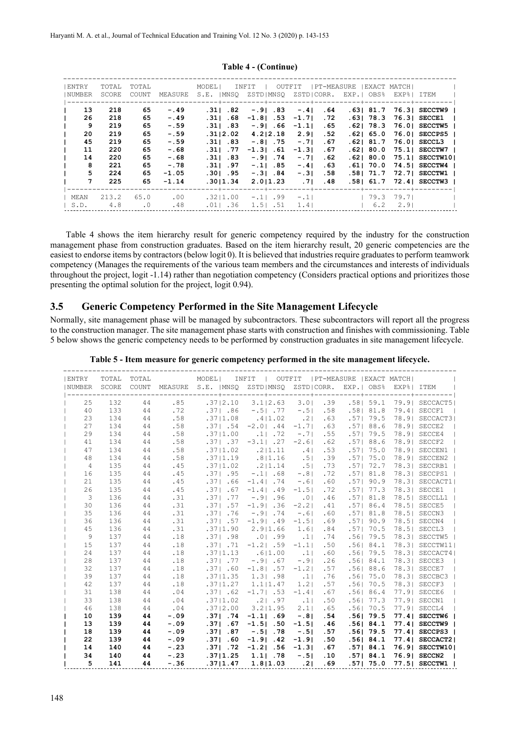| ENTRY<br>  NUMBER | TOTAL<br>SCORE | TOTAL<br>COUNT | MEASURE | MODELI            | INFIT<br>$\mathbf{r}$ | OUTFIT          | PT-MEASURE<br>S.E.  MNSO ZSTD MNSO ZSTD CORR. EXP.  OBS% EXP%  ITEM<br>-------+----------+--------- | EXACT MATCH |                 |  |
|-------------------|----------------|----------------|---------|-------------------|-----------------------|-----------------|-----------------------------------------------------------------------------------------------------|-------------|-----------------|--|
| 13                | 218            | 65             | $-.49$  | .311.82           | $-.91.83$             | $-.4$ l.64      | .63  81.7 76.3  SECCTW9                                                                             |             |                 |  |
| 26                | 218            | 65             | $-.49$  | .311.68           | -1.81.53              | $-1.7$ . $72$   | .631 78.3                                                                                           |             | 76.31 SECCE1 1  |  |
| 9                 | 219            | 65             | $-.59$  | .311.83           | -.91.66               | $-1.1$<br>. 65  | .621 78.3                                                                                           |             | 76.01 SECCTW5 1 |  |
| 20                | 219            | 65             | $-.59$  | .3112.02          | 4.212.18              | 2.91<br>. 52    | .621 65.0                                                                                           |             | 76.0  SECCPS5   |  |
| 45                | 219            | 65             | $-.59$  | .311.83           | $-.81.75$             | $-1.71$<br>. 67 | .62  81.7                                                                                           |             | 76.01 SECCL3 1  |  |
| 11                | 220            | 65             | $-.68$  | .311.77           | $-1.3$ l. 61          | . 67<br>$-1.31$ | .621 80.0                                                                                           |             | 75.11 SECCTW7 1 |  |
| 14                | 220            | 65             | $-.68$  | .311.83           | $-.91.74$             | $-.71$<br>. 62  | .621 80.0                                                                                           |             | 75.11 SECCTW101 |  |
| 8                 | 221            | 65             | $-.78$  | .31.197           | $-.11-.85$            | . 63<br>$-0.41$ | .61  70.0                                                                                           |             | 74.5  SECCTW4   |  |
| 5.                | 224            | 65             | $-1.05$ | .301.95           | $-.31-.84$            | .58<br>$-.31$   | .581 71.7                                                                                           |             | 72.71 SECCTW1 1 |  |
| 7                 | 225            | 65             | $-1.14$ | .3011.34          | $2.0 1.23$ . 7        | .48             | .581 61.7 72.41 SECCTW3 1                                                                           |             |                 |  |
|                   |                |                |         | $- + + - - - - -$ |                       | --+-------      |                                                                                                     |             |                 |  |
| MEAN              | 213.2          | 65.0           | .00     | .3211.00          | $-.11.99$             | $-11$           | 79.3                                                                                                | 79.71       |                 |  |
| S.D.              | 4.8            | $\cdot$ 0      | .48     | $.011$ $.36$      | 1.51<br>.51           | $1.4$           | 6.2                                                                                                 | 2.91        |                 |  |

#### **Table 4 - (Continue)**

Table 4 shows the item hierarchy result for generic competency required by the industry for the construction management phase from construction graduates. Based on the item hierarchy result, 20 generic competencies are the easiest to endorse items by contractors (below logit 0). It is believed that industries require graduates to perform teamwork competency (Manages the requirements of the various team members and the circumstances and interests of individuals throughout the project, logit -1.14) rather than negotiation competency (Considers practical options and prioritizes those presenting the optimal solution for the project, logit 0.94).

## **3.5 Generic Competency Performed in the Site Management Lifecycle**

Normally, site management phase will be managed by subcontractors. These subcontractors will report all the progress to the construction manager. The site management phase starts with construction and finishes with commissioning. Table 5 below shows the generic competency needs to be performed by construction graduates in site management lifecycle.

| ENTRY                   | TOTAL | TOTAL |                | MODEL                    | INFIT                    |                 |            |            |                | OUTFIT   PT-MEASURE   EXACT MATCH |                 |
|-------------------------|-------|-------|----------------|--------------------------|--------------------------|-----------------|------------|------------|----------------|-----------------------------------|-----------------|
| I NUMBER                | SCORE | COUNT | <b>MEASURE</b> | S.E.   MNSO              | ZSTD MNSO                |                 | ZSTDICORR. | EXP.I OBS% |                | EXP%  ITEM                        |                 |
|                         |       |       |                |                          |                          |                 |            |            |                |                                   |                 |
| 25                      | 132   | 44    | .85            | .3712.10                 | 3.112.63                 | 3.01            | .39        |            | $.58$   59.1   |                                   | 79.9  SECCACT5  |
| 40                      | 133   | 44    | .72            | $.371$ $.86$             | $-51.77$                 | $-1.5$          | .58        |            | $.58$   $81.8$ |                                   | 79.4  SECCF1    |
| 23                      | 134   | 44    | .58            | .3711.08                 | .411.02                  | $.2$            | .63        |            | $.571$ 79.5    |                                   | 78.91 SECCACT3  |
| 27                      | 134   | -44   | .58            | $.371$ $.54$             | $-2.01$ . 44             | $-1.7$          | .63        |            | $.57$   88.6   |                                   | 78.9  SECCE2    |
| 29                      | 134   | 44    | .58            | .3711.00                 | $.11$ $.72$              | $- 0.71$        | .55        |            | $.57$   79.5   |                                   | 78.9  SECCE4    |
| 41                      | 134   | 44    | .58            | $.371$ $.37$             | $-3.1$ $.27$ $-2.6$      |                 | .62        |            | $.57$   88.6   |                                   | 78.9  SECCF2    |
| 47                      | 134   | 44    | .58            | .3711.02                 | .211.11                  | .4 <sub>1</sub> | .53        |            | $.57$   75.0   |                                   | 78.9  SECCEN1   |
| 48                      | 134   | -44   | .58            | .37 1.19                 | .811.16                  | $.5$            | .39        |            | $.571$ 75.0    |                                   | 78.91 SECCEN2   |
| $\overline{4}$          | 135   | 44    | .45            | .37 1.02                 | .211.14                  | .5 <sub>1</sub> | .73        |            | $.571$ 72.7    |                                   | 78.3  SECCRB1   |
| 16                      | 135   | 44    | .45            | $.371$ $.95$             | $-.11.68$                | $- 0.81$        | .72        |            | $.57$   81.8   |                                   | 78.3  SECCPS1   |
| 21                      | 135   | 44    | .45            |                          | $.37$ $.66$ $-1.4$ $.74$ | $- 0.61$        | .60        |            | $.57$   90.9   |                                   | 78.3  SECCACT1  |
| 26                      | 135   | 44    | .45            | $.371$ $.67$             | $-1.4$ . 49              | $-1.5$          | .72        |            | $.57$   77.3   |                                   | 78.3  SECCE1    |
| $\overline{\mathbf{3}}$ | 136   | 44    | .31            | $.37$ $.77$              | $-.91.96$                | $.0$            | .46        |            | $.57$   81.8   |                                   | 78.5  SECCLL1   |
| 30                      | 136   | -44   | .31            | $.371$ $.57$             | $-1.9$ . 36              | $-2.2$          | .41        |            | .57186.4       |                                   | 78.5  SECCE5    |
| 35                      | 136   | -44   | .31            | $.371$ $.76$             | $-91.74$                 | $-0.61$         | .60        |            | $.57$   81.8   |                                   | 78.5  SECCN3    |
| 36                      | 136   | 44    | .31            | $.371$ $.57$             | $-1.9$ . 49              | $-1.5$          | .69        |            | $.57$   90.9   |                                   | 78.5  SECCN4    |
| 45                      | 136   | 44    | .31            | .3711.90                 | 2.91.66                  | $1.6$           | .84        |            | $.57$   70.5   |                                   | 78.5  SECCL3    |
| 9                       | 137   | 44    | .18            | $.37$ $.98$              | .01.99                   | $\cdot$ 1       | .74        |            | $.56$   79.5   |                                   | 78.3  SECCTW5   |
| 15                      | 137   | -44   | .18            | $.37$ $.71$ $-1.2$ $.59$ |                          | $-1.1$          | .50        |            | $.56$   84.1   |                                   | 78.31 SECCTW111 |
| 24                      | 137   | -44   | .18            | .37 1.13                 | .611.00                  | $\cdot$ 1       | .60        |            | .561 79.5      |                                   | 78.31 SECCACT41 |
| 28                      | 137   | -44   | .18            | $.371$ . 77              | $-0.91$ . 67             | $- .91$         | .26        |            | .56184.1       |                                   | 78.3  SECCE3    |
| 32                      | 137   | 44    | .18            | $.37$ $.60$              | $-1.8$ . 57              | $-1.2$          | .57        |            | $.56$   88.6   |                                   | 78.3  SECCE7    |
| 39                      | 137   | 44    | .18            | .3711.35                 | $1.3$ $.98$              | $\cdot$ 1       | .76        |            | $.56$   75.0   |                                   | 78.3  SECCBC3   |
| 42                      | 137   | 44    | .18            | .3711.27                 | 1.111.47                 | $1.2$           | .57        |            | $.56$   70.5   |                                   | 78.3  SECCF3    |
| 31                      | 138   | -44   | .04            | $.37$   $.62$            | $-1.71$ .53              | $-1.4$          | .67        |            | .56186.4       |                                   | 77.9  SECCE6    |
| 33                      | 138   | -44   | .04            | .3711.02                 | .21.97                   | $\cdot$ 1       | .50        |            | $.561$ $77.3$  |                                   | 77.91 SECCN1    |
| 46                      | 138   | 44    | .04            | .3712.00                 | $3.2 \mid 1.95$          | $2.1$           | .65        |            | $.561$ $70.5$  |                                   | 77.9  SECCL4    |
| 10                      | 139   | 44    | $-.09$         | $.37$ $.74$              | $-1.1$ . 69              | $-.81$          | .54        |            | $.56$   79.5   |                                   | 77.4  SECCTW6   |
| 13                      | 139   | 44    | $-.09$         | $.37$   .67              | $-1.5$   .50             | $-1.51$         | .46        |            | $.56$   84.1   |                                   | 77.4  SECCTW9   |
| 18                      | 139   | 44    | $-.09$         | $.371$ $.87$             | $-.51$ .78               | $-.51$          | .57        |            | .56  79.5      |                                   | 77.41 SECCPS3   |
| 22                      | 139   | 44    | $-.09$         | .371.60                  | $-1.9$ . 42              | $-1.91$         | .50        |            | $.56$   84.1   |                                   | 77.4  SECCACT2  |
| 14                      | 140   | 44    | $-.23$         | $.37$ $.72$              | $-1.2$ $.56$             | $-1.3$          | .67        |            | $.571$ 84.1    |                                   | 76.9  SECCTW10  |
| 34                      | 140   | 44    | $-.23$         | .37 1.25                 | $1.1$ $.78$              | $-1.51$         | .10        |            | $.57$   84.1   |                                   | 76.9  SECCN2    |
| 5                       | 141   | 44    | $-.36$         | .37 1.47                 | 1.811.03                 | $\cdot$ . 21    | .69        |            | .57  75.0      |                                   | 77.5  SECCTW1   |
|                         |       |       |                |                          |                          |                 |            |            |                |                                   |                 |

|  |  |  | Table 5 - Item measure for generic competency performed in the site management lifecycle. |  |
|--|--|--|-------------------------------------------------------------------------------------------|--|
|  |  |  |                                                                                           |  |
|  |  |  |                                                                                           |  |
|  |  |  |                                                                                           |  |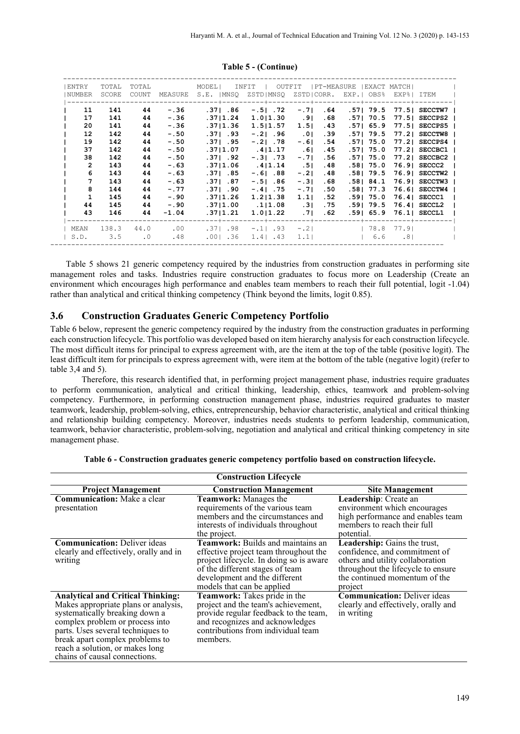|                           | PT-MEASURE   EXACT MATCH |           |      |        | INFIT   OUTFIT                                   | MODEL <br>MEASURE S.E.   MNSO ZSTD  MNSO ZSTD  CORR. EXP.   OBS% EXP%   ITEM |                | TOTAL<br>COUNT              | TOTAL<br>SCORE | ENTRY<br>I NUMBER |
|---------------------------|--------------------------|-----------|------|--------|--------------------------------------------------|------------------------------------------------------------------------------|----------------|-----------------------------|----------------|-------------------|
|                           |                          |           |      |        |                                                  |                                                                              |                |                             |                |                   |
| .571 79.5 77.51 SECCTW7 1 |                          |           | . 64 | $-.71$ | -.51.72                                          | .371.86                                                                      | $-.36$         | 44                          | 141            | 11                |
| 77.51 SECCPS2 1           |                          | .571 70.5 | . 68 |        | 1.011.30.91                                      | .3711.24                                                                     | $-.36$         | 44                          | 141            | 17                |
| .57  65.9 77.5  SECCPS5   |                          |           | .43  |        | $1.5 1.57 \t1.5 $                                | .3711.36                                                                     | $-.36$         | 44                          | 141            | 20                |
| .57  79.5 77.2  SECCTW8   |                          |           | .39  |        | $-.2$ $.96$ $.0$ $]$                             | .371.93                                                                      | $-.50$         | 44                          | 142            | 12 <sup>2</sup>   |
| .57  75.0 77.2  SECCPS4   |                          |           | .54  | $-.61$ | $-.2$   $.78$                                    | .371.95                                                                      | $-.50$         | 44                          | 142            | 19                |
| 77.2  SECCBC1             |                          | .571 75.0 | .45  |        | $.37 1.07$ $.4 1.17$ $.6 $                       |                                                                              | $-.50$         | 44                          | 142            | 37                |
| 77.2   SECCBC2            |                          | .57  75.0 | .56  | $-.71$ | $-.3$ $-.73$                                     | .371.92                                                                      | $-.50$         | 44                          | 142            | 38                |
| .58  75.0 76.9  SECCC2    |                          |           | .48  |        | .37 1.06 .4 1.14 .5                              |                                                                              | $-.63$         | 44                          | 143            | $\overline{2}$    |
| 76.9  SECCTW2             |                          | .581 79.5 | .48  | $-.21$ | $-.61.88$                                        | .371.85                                                                      | $-.63$         | 44                          | 143            | 6                 |
| 76.9  SECCTW3             |                          | .58  84.1 | . 68 | $-.31$ | $-.51.86$                                        | .371.87                                                                      | $-.63$         | 44                          | 143            |                   |
| .58   77.3 76.6   SECCTW4 |                          |           | .50  | $-.71$ | $-.4$ . $75$                                     | .371.90                                                                      | $-.77$         | 44                          | 144            | 8                 |
| .591 75.0 76.41 SECCC1    |                          |           | .52  | 1.11   | 1.2 1.38                                         | .3711.26                                                                     | $-.90$         | 44                          | 145            | 1                 |
| .59   79.5 76.4   SECCL2  |                          |           | . 75 |        | $.37 1.00$ $.1 1.08$ $.3 $                       |                                                                              | $-.90$         | 44                          | 145            | 44                |
| .59  65.9 76.1  SECCL1    |                          |           | . 62 | .71    | 1.011.22                                         | .37 1.21                                                                     | $-1.04$        | 44                          | 146            | 43                |
|                           |                          |           |      |        | $.371$ $.98$ $-.11$ $.93$ $-.21$ $178.8$ $77.91$ |                                                                              | 138.3 44.0 .00 |                             |                | MEAN              |
|                           | $6.6$ .81                |           |      |        | $.001$ $.36$ $1.41$ $.43$ $1.11$                 |                                                                              | .48            | $\overline{\phantom{a}}$ .0 | 3.5            | S.D.              |

#### **Table 5 - (Continue)**

Table 5 shows 21 generic competency required by the industries from construction graduates in performing site management roles and tasks. Industries require construction graduates to focus more on Leadership (Create an environment which encourages high performance and enables team members to reach their full potential, logit -1.04) rather than analytical and critical thinking competency (Think beyond the limits, logit 0.85).

#### **3.6 Construction Graduates Generic Competency Portfolio**

Table 6 below, represent the generic competency required by the industry from the construction graduates in performing each construction lifecycle. This portfolio was developed based on item hierarchy analysis for each construction lifecycle. The most difficult items for principal to express agreement with, are the item at the top of the table (positive logit). The least difficult item for principals to express agreement with, were item at the bottom of the table (negative logit) (refer to table 3,4 and 5).

Therefore, this research identified that, in performing project management phase, industries require graduates to perform communication, analytical and critical thinking, leadership, ethics, teamwork and problem-solving competency. Furthermore, in performing construction management phase, industries required graduates to master teamwork, leadership, problem-solving, ethics, entrepreneurship, behavior characteristic, analytical and critical thinking and relationship building competency. Moreover, industries needs students to perform leadership, communication, teamwork, behavior characteristic, problem-solving, negotiation and analytical and critical thinking competency in site management phase.

|                                                                                                                                                                                                                                                                                                   | <b>Construction Lifecycle</b>                                                                                                                                                                                           |                                                                                                                                                                                     |
|---------------------------------------------------------------------------------------------------------------------------------------------------------------------------------------------------------------------------------------------------------------------------------------------------|-------------------------------------------------------------------------------------------------------------------------------------------------------------------------------------------------------------------------|-------------------------------------------------------------------------------------------------------------------------------------------------------------------------------------|
| <b>Project Management</b>                                                                                                                                                                                                                                                                         | <b>Construction Management</b>                                                                                                                                                                                          | <b>Site Management</b>                                                                                                                                                              |
| <b>Communication:</b> Make a clear<br>presentation                                                                                                                                                                                                                                                | <b>Teamwork:</b> Manages the<br>requirements of the various team<br>members and the circumstances and<br>interests of individuals throughout<br>the project.                                                            | Leadership: Create an<br>environment which encourages<br>high performance and enables team<br>members to reach their full<br>potential.                                             |
| <b>Communication: Deliver ideas</b><br>clearly and effectively, orally and in<br>writing                                                                                                                                                                                                          | Teamwork: Builds and maintains an<br>effective project team throughout the<br>project lifecycle. In doing so is aware<br>of the different stages of team<br>development and the different<br>models that can be applied | Leadership: Gains the trust,<br>confidence, and commitment of<br>others and utility collaboration<br>throughout the lifecycle to ensure<br>the continued momentum of the<br>project |
| <b>Analytical and Critical Thinking:</b><br>Makes appropriate plans or analysis,<br>systematically breaking down a<br>complex problem or process into<br>parts. Uses several techniques to<br>break apart complex problems to<br>reach a solution, or makes long<br>chains of causal connections. | <b>Teamwork:</b> Takes pride in the<br>project and the team's achievement,<br>provide regular feedback to the team,<br>and recognizes and acknowledges<br>contributions from individual team<br>members.                | <b>Communication: Deliver ideas</b><br>clearly and effectively, orally and<br>in writing                                                                                            |

**Table 6 - Construction graduates generic competency portfolio based on construction lifecycle.**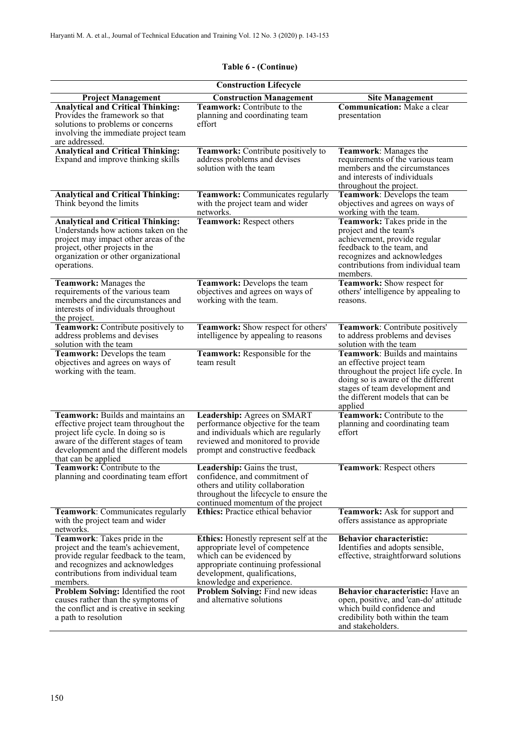## **Table 6 - (Continue)**

| <b>Construction Lifecycle</b>                                                                                                                                                                                            |                                                                                                                                                                                                                   |                                                                                                                                                                                                                             |  |
|--------------------------------------------------------------------------------------------------------------------------------------------------------------------------------------------------------------------------|-------------------------------------------------------------------------------------------------------------------------------------------------------------------------------------------------------------------|-----------------------------------------------------------------------------------------------------------------------------------------------------------------------------------------------------------------------------|--|
| <b>Project Management</b>                                                                                                                                                                                                | <b>Construction Management</b>                                                                                                                                                                                    | <b>Site Management</b>                                                                                                                                                                                                      |  |
| <b>Analytical and Critical Thinking:</b><br>Provides the framework so that<br>solutions to problems or concerns<br>involving the immediate project team                                                                  | Teamwork: Contribute to the<br>planning and coordinating team<br>effort                                                                                                                                           | <b>Communication:</b> Make a clear<br>presentation                                                                                                                                                                          |  |
| are addressed.                                                                                                                                                                                                           |                                                                                                                                                                                                                   |                                                                                                                                                                                                                             |  |
| <b>Analytical and Critical Thinking:</b><br>Expand and improve thinking skills                                                                                                                                           | <b>Teamwork:</b> Contribute positively to<br>address problems and devises<br>solution with the team                                                                                                               | Teamwork: Manages the<br>requirements of the various team<br>members and the circumstances<br>and interests of individuals<br>throughout the project.                                                                       |  |
| <b>Analytical and Critical Thinking:</b><br>Think beyond the limits                                                                                                                                                      | Teamwork: Communicates regularly<br>with the project team and wider<br>networks.                                                                                                                                  | Teamwork: Develops the team<br>objectives and agrees on ways of<br>working with the team.                                                                                                                                   |  |
| <b>Analytical and Critical Thinking:</b><br>Understands how actions taken on the<br>project may impact other areas of the<br>project, other projects in the<br>organization or other organizational<br>operations.       | Teamwork: Respect others                                                                                                                                                                                          | Teamwork: Takes pride in the<br>project and the team's<br>achievement, provide regular<br>feedback to the team, and<br>recognizes and acknowledges<br>contributions from individual team<br>members.                        |  |
| Teamwork: Manages the<br>requirements of the various team<br>members and the circumstances and<br>interests of individuals throughout<br>the project.                                                                    | Teamwork: Develops the team<br>objectives and agrees on ways of<br>working with the team.                                                                                                                         | Teamwork: Show respect for<br>others' intelligence by appealing to<br>reasons.                                                                                                                                              |  |
| Teamwork: Contribute positively to<br>address problems and devises<br>solution with the team                                                                                                                             | <b>Teamwork:</b> Show respect for others'<br>intelligence by appealing to reasons                                                                                                                                 | Teamwork: Contribute positively<br>to address problems and devises<br>solution with the team                                                                                                                                |  |
| Teamwork: Develops the team<br>objectives and agrees on ways of<br>working with the team.                                                                                                                                | Teamwork: Responsible for the<br>team result                                                                                                                                                                      | Teamwork: Builds and maintains<br>an effective project team<br>throughout the project life cycle. In<br>doing so is aware of the different<br>stages of team development and<br>the different models that can be<br>applied |  |
| Teamwork: Builds and maintains an<br>effective project team throughout the<br>project life cycle. In doing so is<br>aware of the different stages of team<br>development and the different models<br>that can be applied | Leadership: Agrees on SMART<br>performance objective for the team<br>and individuals which are regularly<br>reviewed and monitored to provide<br>prompt and constructive feedback                                 | Teamwork: Contribute to the<br>planning and coordinating team<br>effort                                                                                                                                                     |  |
| Teamwork: Contribute to the<br>planning and coordinating team effort                                                                                                                                                     | Leadership: Gains the trust,<br>confidence, and commitment of<br>others and utility collaboration<br>throughout the lifecycle to ensure the<br>continued momentum of the project                                  | <b>Teamwork: Respect others</b>                                                                                                                                                                                             |  |
| <b>Teamwork:</b> Communicates regularly<br>with the project team and wider<br>networks.                                                                                                                                  | <b>Ethics:</b> Practice ethical behavior                                                                                                                                                                          | Teamwork: Ask for support and<br>offers assistance as appropriate                                                                                                                                                           |  |
| Teamwork: Takes pride in the<br>project and the team's achievement,<br>provide regular feedback to the team,<br>and recognizes and acknowledges<br>contributions from individual team<br>members.                        | <b>Ethics:</b> Honestly represent self at the<br>appropriate level of competence<br>which can be evidenced by<br>appropriate continuing professional<br>development, qualifications,<br>knowledge and experience. | <b>Behavior characteristic:</b><br>Identifies and adopts sensible,<br>effective, straightforward solutions                                                                                                                  |  |
| Problem Solving: Identified the root<br>causes rather than the symptoms of<br>the conflict and is creative in seeking<br>a path to resolution                                                                            | <b>Problem Solving:</b> Find new ideas<br>and alternative solutions                                                                                                                                               | Behavior characteristic: Have an<br>open, positive, and 'can-do' attitude<br>which build confidence and<br>credibility both within the team<br>and stakeholders.                                                            |  |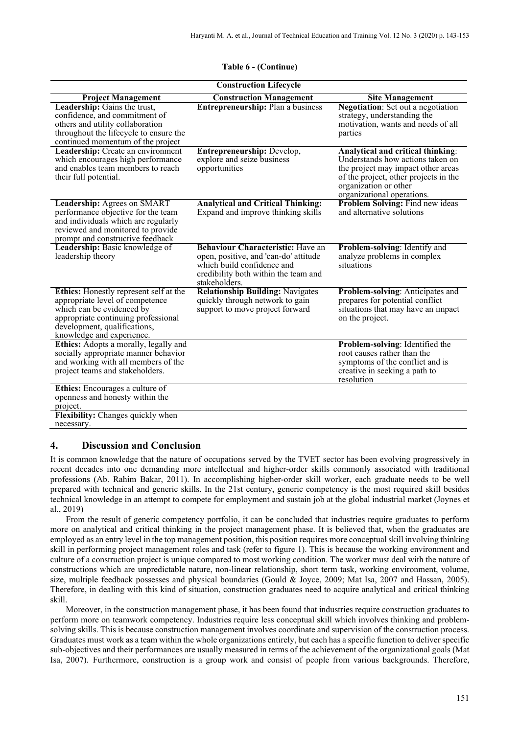| <b>Construction Lifecycle</b>                                                                                                                                                                              |                                                                                                                                                                          |                                                                                                                                                                                                             |  |
|------------------------------------------------------------------------------------------------------------------------------------------------------------------------------------------------------------|--------------------------------------------------------------------------------------------------------------------------------------------------------------------------|-------------------------------------------------------------------------------------------------------------------------------------------------------------------------------------------------------------|--|
| <b>Project Management</b>                                                                                                                                                                                  | <b>Construction Management</b>                                                                                                                                           | <b>Site Management</b>                                                                                                                                                                                      |  |
| Leadership: Gains the trust,<br>confidence, and commitment of<br>others and utility collaboration<br>throughout the lifecycle to ensure the<br>continued momentum of the project                           | Entrepreneurship: Plan a business                                                                                                                                        | <b>Negotiation:</b> Set out a negotiation<br>strategy, understanding the<br>motivation, wants and needs of all<br>parties                                                                                   |  |
| Leadership: Create an environment<br>which encourages high performance<br>and enables team members to reach<br>their full potential.                                                                       | Entrepreneurship: Develop,<br>explore and seize business<br>opportunities                                                                                                | Analytical and critical thinking:<br>Understands how actions taken on<br>the project may impact other areas<br>of the project, other projects in the<br>organization or other<br>organizational operations. |  |
| Leadership: Agrees on SMART<br>performance objective for the team<br>and individuals which are regularly<br>reviewed and monitored to provide<br>prompt and constructive feedback                          | <b>Analytical and Critical Thinking:</b><br>Expand and improve thinking skills                                                                                           | Problem Solving: Find new ideas<br>and alternative solutions                                                                                                                                                |  |
| Leadership: Basic knowledge of<br>leadership theory                                                                                                                                                        | <b>Behaviour Characteristic:</b> Have an<br>open, positive, and 'can-do' attitude<br>which build confidence and<br>credibility both within the team and<br>stakeholders. | Problem-solving: Identify and<br>analyze problems in complex<br>situations                                                                                                                                  |  |
| Ethics: Honestly represent self at the<br>appropriate level of competence<br>which can be evidenced by<br>appropriate continuing professional<br>development, qualifications,<br>knowledge and experience. | <b>Relationship Building: Navigates</b><br>quickly through network to gain<br>support to move project forward                                                            | Problem-solving: Anticipates and<br>prepares for potential conflict<br>situations that may have an impact<br>on the project.                                                                                |  |
| Ethics: Adopts a morally, legally and<br>socially appropriate manner behavior<br>and working with all members of the<br>project teams and stakeholders.                                                    |                                                                                                                                                                          | Problem-solving: Identified the<br>root causes rather than the<br>symptoms of the conflict and is<br>creative in seeking a path to<br>resolution                                                            |  |
| <b>Ethics:</b> Encourages a culture of<br>openness and honesty within the<br>project.                                                                                                                      |                                                                                                                                                                          |                                                                                                                                                                                                             |  |
| Flexibility: Changes quickly when<br>necessary.                                                                                                                                                            |                                                                                                                                                                          |                                                                                                                                                                                                             |  |

#### **Table 6 - (Continue)**

## **4. Discussion and Conclusion**

It is common knowledge that the nature of occupations served by the TVET sector has been evolving progressively in recent decades into one demanding more intellectual and higher-order skills commonly associated with traditional professions (Ab. Rahim Bakar, 2011). In accomplishing higher-order skill worker, each graduate needs to be well prepared with technical and generic skills. In the 21st century, generic competency is the most required skill besides technical knowledge in an attempt to compete for employment and sustain job at the global industrial market (Joynes et al., 2019)

From the result of generic competency portfolio, it can be concluded that industries require graduates to perform more on analytical and critical thinking in the project management phase. It is believed that, when the graduates are employed as an entry level in the top management position, this position requires more conceptual skill involving thinking skill in performing project management roles and task (refer to figure 1). This is because the working environment and culture of a construction project is unique compared to most working condition. The worker must deal with the nature of constructions which are unpredictable nature, non-linear relationship, short term task, working environment, volume, size, multiple feedback possesses and physical boundaries (Gould & Joyce, 2009; Mat Isa, 2007 and Hassan, 2005). Therefore, in dealing with this kind of situation, construction graduates need to acquire analytical and critical thinking skill.

Moreover, in the construction management phase, it has been found that industries require construction graduates to perform more on teamwork competency. Industries require less conceptual skill which involves thinking and problemsolving skills. This is because construction management involves coordinate and supervision of the construction process. Graduates must work as a team within the whole organizations entirely, but each has a specific function to deliver specific sub-objectives and their performances are usually measured in terms of the achievement of the organizational goals (Mat Isa, 2007). Furthermore, construction is a group work and consist of people from various backgrounds. Therefore,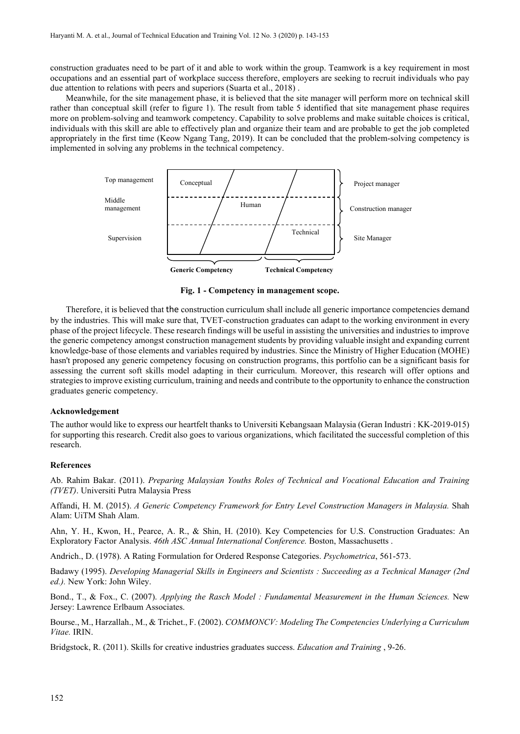construction graduates need to be part of it and able to work within the group. Teamwork is a key requirement in most occupations and an essential part of workplace success therefore, employers are seeking to recruit individuals who pay due attention to relations with peers and superiors (Suarta et al., 2018) .

Meanwhile, for the site management phase, it is believed that the site manager will perform more on technical skill rather than conceptual skill (refer to figure 1). The result from table 5 identified that site management phase requires more on problem-solving and teamwork competency. Capability to solve problems and make suitable choices is critical, individuals with this skill are able to effectively plan and organize their team and are probable to get the job completed appropriately in the first time (Keow Ngang Tang, 2019). It can be concluded that the problem-solving competency is implemented in solving any problems in the technical competency.



**Fig. 1 - Competency in management scope.**

Therefore, it is believed that the construction curriculum shall include all generic importance competencies demand by the industries. This will make sure that, TVET-construction graduates can adapt to the working environment in every phase of the project lifecycle. These research findings will be useful in assisting the universities and industries to improve the generic competency amongst construction management students by providing valuable insight and expanding current knowledge-base of those elements and variables required by industries. Since the Ministry of Higher Education (MOHE) hasn't proposed any generic competency focusing on construction programs, this portfolio can be a significant basis for assessing the current soft skills model adapting in their curriculum. Moreover, this research will offer options and strategies to improve existing curriculum, training and needs and contribute to the opportunity to enhance the construction graduates generic competency.

#### **Acknowledgement**

The author would like to express our heartfelt thanks to Universiti Kebangsaan Malaysia (Geran Industri : KK-2019-015) for supporting this research. Credit also goes to various organizations, which facilitated the successful completion of this research.

#### **References**

Ab. Rahim Bakar. (2011). *Preparing Malaysian Youths Roles of Technical and Vocational Education and Training (TVET)*. Universiti Putra Malaysia Press

Affandi, H. M. (2015). *A Generic Competency Framework for Entry Level Construction Managers in Malaysia.* Shah Alam: UiTM Shah Alam.

Ahn, Y. H., Kwon, H., Pearce, A. R., & Shin, H. (2010). Key Competencies for U.S. Construction Graduates: An Exploratory Factor Analysis. *46th ASC Annual International Conference.* Boston, Massachusetts .

Andrich., D. (1978). A Rating Formulation for Ordered Response Categories. *Psychometrica*, 561-573.

Badawy (1995). *Developing Managerial Skills in Engineers and Scientists : Succeeding as a Technical Manager (2nd ed.).* New York: John Wiley.

Bond., T., & Fox., C. (2007). *Applying the Rasch Model : Fundamental Measurement in the Human Sciences.* New Jersey: Lawrence Erlbaum Associates.

Bourse., M., Harzallah., M., & Trichet., F. (2002). *COMMONCV: Modeling The Competencies Underlying a Curriculum Vitae.* IRIN.

Bridgstock, R. (2011). Skills for creative industries graduates success. *Education and Training* , 9-26.